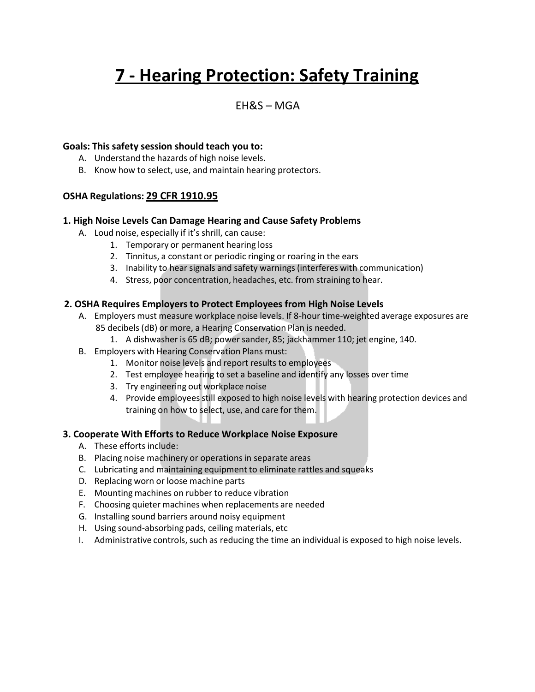# **7 - Hearing Protection: Safety Training**

# EH&S – MGA

#### **Goals: This safety session should teach you to:**

- A. Understand the hazards of high noise levels.
- B. Know how to select, use, and maintain hearing protectors.

# **OSHA Regulations: 29 CFR 1910.95**

#### **1. High Noise Levels Can Damage Hearing and Cause Safety Problems**

- A. Loud noise, especially if it's shrill, can cause:
	- 1. Temporary or permanent hearing loss
	- 2. Tinnitus, a constant or periodic ringing or roaring in the ears
	- 3. Inability to hear signals and safety warnings(interferes with communication)
	- 4. Stress, poor concentration, headaches, etc. from straining to hear.

#### **2. OSHA Requires Employersto Protect Employees from High Noise Levels**

- A. Employers must measure workplace noise levels. If 8-hour time-weighted average exposures are 85 decibels (dB) or more, a Hearing Conservation Plan is needed.
	- 1. A dishwasher is 65 dB; power sander, 85; jackhammer 110; jet engine, 140.
- B. Employers with Hearing Conservation Plans must:
	- 1. Monitor noise levels and report results to employees
	- 2. Test employee hearing to set a baseline and identify any losses over time
	- 3. Try engineering out workplace noise
	- 4. Provide employees still exposed to high noise levels with hearing protection devices and training on how to select, use, and care for them.

#### **3. Cooperate With Efforts to Reduce Workplace Noise Exposure**

- A. These efforts include:
- B. Placing noise machinery or operations in separate areas
- C. Lubricating and maintaining equipment to eliminate rattles and squeaks
- D. Replacing worn or loose machine parts
- E. Mounting machines on rubber to reduce vibration
- F. Choosing quieter machines when replacements are needed
- G. Installing sound barriers around noisy equipment
- H. Using sound-absorbing pads, ceiling materials, etc
- I. Administrative controls, such as reducing the time an individual is exposed to high noise levels.